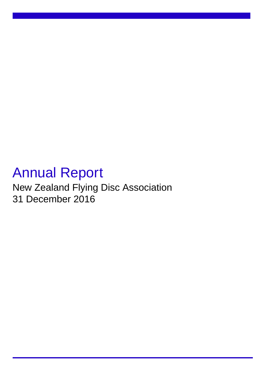# Annual Report

New Zealand Flying Disc Association 31 December 2016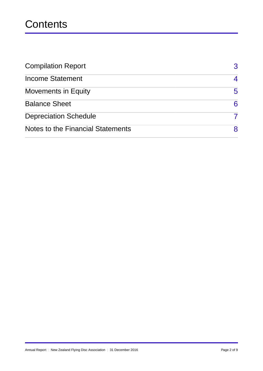# **Contents**

| <b>Compilation Report</b>         | $\mathbf{R}$ |
|-----------------------------------|--------------|
| <b>Income Statement</b>           | 4            |
| <b>Movements in Equity</b>        | 5            |
| <b>Balance Sheet</b>              | 6            |
| <b>Depreciation Schedule</b>      |              |
| Notes to the Financial Statements | 8            |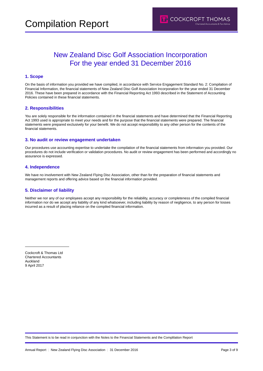### New Zealand Disc Golf Association Incorporation For the year ended 31 December 2016

#### **1. Scope**

On the basis of information you provided we have compiled, in accordance with Service Engagement Standard No. 2: Compilation of Financial Information, the financial statements of New Zealand Disc Golf Association Incorporation for the year ended 31 December 2016. These have been prepared in accordance with the Financial Reporting Act 1993 described in the Statement of Accounting Policies contained in these financial statements.

#### **2. Responsibilities**

You are solely responsible for the information contained in the financial statements and have determined that the Financial Reporting Act 1993 used is appropriate to meet your needs and for the purpose that the financial statements were prepared. The financial statements were prepared exclusively for your benefit. We do not accept responsibility to any other person for the contents of the financial statements.

#### **3. No audit or review engagement undertaken**

Our procedures use accounting expertise to undertake the compilation of the financial statements from information you provided. Our procedures do not include verification or validation procedures. No audit or review engagement has been performed and accordingly no assurance is expressed.

#### **4. Independence**

We have no involvement with New Zealand Flying Disc Association, other than for the preparation of financial statements and management reports and offering advice based on the financial information provided.

#### **5. Disclaimer of liability**

Neither we nor any of our employees accept any responsibility for the reliability, accuracy or completeness of the compiled financial information nor do we accept any liability of any kind whatsoever, including liability by reason of negligence, to any person for losses incurred as a result of placing reliance on the compiled financial information.

Cockcroft & Thomas Ltd Chartered Accountants Auckland 9 April 2017

 $\overline{a}$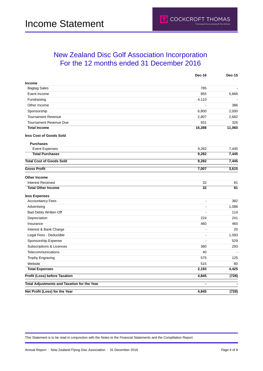### <span id="page-3-0"></span>New Zealand Disc Golf Association Incorporation For the 12 months ended 31 December 2016

|                                                    | Dec-16         | <b>Dec-15</b>  |
|----------------------------------------------------|----------------|----------------|
| Income                                             |                |                |
| <b>Bagtag Sales</b>                                | 785            | $\overline{a}$ |
| Event Income                                       | 855            | 5,666          |
| Fundraising                                        | 4,110          |                |
| Other Income                                       |                | 386            |
| Sponsorship                                        | 6,800          | 2,000          |
| <b>Tournament Revenue</b>                          | 2,807          | 2,682          |
| <b>Tournament Revenue Due</b>                      | 931            | 326            |
| <b>Total Income</b>                                | 16,288         | 11,060         |
| less Cost of Goods Sold                            |                |                |
| <b>Purchases</b>                                   |                |                |
| <b>Event Expenses</b>                              | 9,282          | 7,445          |
| <b>Total Purchases</b>                             | 9,282          | 7,445          |
| <b>Total Cost of Goods Sold</b>                    | 9,282          | 7,445          |
| <b>Gross Profit</b>                                | 7,007          | 3,615          |
| <b>Other Income</b>                                |                |                |
| <b>Interest Received</b>                           | 32             | 81             |
| <b>Total Other Income</b>                          | 32             | 81             |
| less Expenses                                      |                |                |
| <b>Accountancy Fees</b>                            | $\overline{a}$ | 382            |
| Advertising                                        |                | 1,088          |
| <b>Bad Debts Written Off</b>                       | ÷,             | 114            |
| Depreciation                                       | 224            | 241            |
| Insurance                                          | 460            | 460            |
| Interest & Bank Charge                             | $\blacksquare$ | 20             |
| Legal Fees - Deductible                            | $\blacksquare$ | 1,093          |
| Sponsorship Expense                                | ä,             | 529            |
| Subscriptions & Licences                           | 380            | 293            |
| Telecommunications                                 | 40             | ÷.             |
| <b>Trophy Engraving</b>                            | 575            | 125            |
| Website                                            | 515            | 80             |
| <b>Total Expenses</b>                              | 2,193          | 4,425          |
| <b>Profit (Loss) before Taxation</b>               | 4,845          | (728)          |
| <b>Total Adjustments and Taxation for the Year</b> | $\blacksquare$ |                |
| Net Profit (Loss) for the Year                     | 4,845          | (728)          |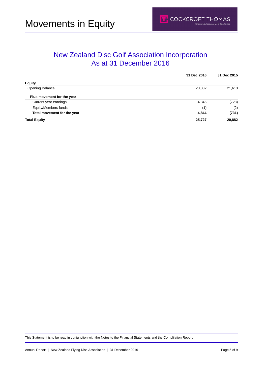### New Zealand Disc Golf Association Incorporation As at 31 December 2016

|                             | 31 Dec 2016 | 31 Dec 2015 |  |
|-----------------------------|-------------|-------------|--|
| <b>Equity</b>               |             |             |  |
| <b>Opening Balance</b>      | 20,882      | 21,613      |  |
| Plus movement for the year  |             |             |  |
| Current year earnings       | 4,845       | (728)       |  |
| Equity/Members funds        | (1)         | (2)         |  |
| Total movement for the year | 4,844       | (731)       |  |
| <b>Total Equity</b>         | 25,727      | 20,882      |  |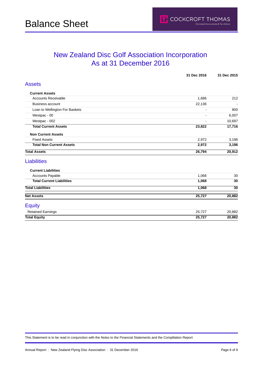### <span id="page-5-0"></span>New Zealand Disc Golf Association Incorporation As at 31 December 2016

|                                  | 31 Dec 2016              | 31 Dec 2015     |
|----------------------------------|--------------------------|-----------------|
| <b>Assets</b>                    |                          |                 |
| <b>Current Assets</b>            |                          |                 |
| <b>Accounts Receivable</b>       | 1,686                    | 212             |
| <b>Business account</b>          | 22,136                   |                 |
| Loan to Wellington For Baskets   |                          | 800             |
| Westpac - 00                     | $\overline{\phantom{a}}$ | 6,007           |
| Westpac - 002                    |                          | 10,697          |
| <b>Total Current Assets</b>      | 23,822                   | 17,716          |
| <b>Non Current Assets</b>        |                          |                 |
| <b>Fixed Assets</b>              | 2,972                    | 3,196           |
| <b>Total Non Current Assets</b>  | 2,972                    | 3,196           |
| <b>Total Assets</b>              | 26,794                   | 20,912          |
| <b>Liabilities</b>               |                          |                 |
| <b>Current Liabilities</b>       |                          |                 |
| <b>Accounts Payable</b>          | 1,068                    | 30              |
| <b>Total Current Liabilities</b> | 1,068                    | 30              |
| <b>Total Liabilities</b>         | 1,068                    | $\overline{30}$ |
| <b>Net Assets</b>                | 25,727                   | 20,882          |
| <b>Equity</b>                    |                          |                 |
| <b>Retained Earnings</b>         | 25,727                   | 20,882          |
| <b>Total Equity</b>              | 25,727                   | 20,882          |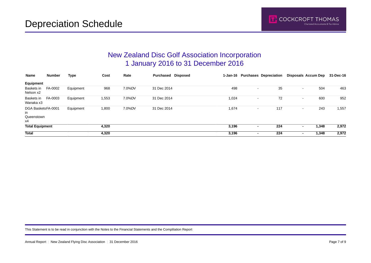### New Zealand Disc Golf Association Incorporation 1 January 2016 to 31 December 2016

| Name                                         | Number  | Type      | Cost  | Rate   | Purchased Disposed |       |                          | 1-Jan-16 Purchases Depreciation | Disposals Accum Dep             | 31-Dec-16 |
|----------------------------------------------|---------|-----------|-------|--------|--------------------|-------|--------------------------|---------------------------------|---------------------------------|-----------|
| Equipment                                    |         |           |       |        |                    |       |                          |                                 |                                 |           |
| Baskets in<br>Nelson x2                      | FA-0002 | Equipment | 968   | 7.0%DV | 31 Dec 2014        | 498   |                          | 35                              | 504<br>$\sim$                   | 463       |
| Baskets in<br>Wanaka x3                      | FA-0003 | Equipment | 1,553 | 7.0%DV | 31 Dec 2014        | 1,024 |                          | 72                              | 600<br>$\sim$                   | 952       |
| DGA BasketsFA-0001<br>in<br>Queenstown<br>х4 |         | Equipment | 1,800 | 7.0%DV | 31 Dec 2014        | 1,674 |                          | 117                             | 243<br>$\overline{\phantom{a}}$ | 1,557     |
| <b>Total Equipment</b>                       |         |           | 4,320 |        |                    | 3,196 | $\overline{\phantom{a}}$ | 224                             | 1,348<br>$\blacksquare$         | 2,972     |
| <b>Total</b>                                 |         |           | 4,320 |        |                    | 3,196 |                          | 224                             | 1,348<br>$\blacksquare$         | 2,972     |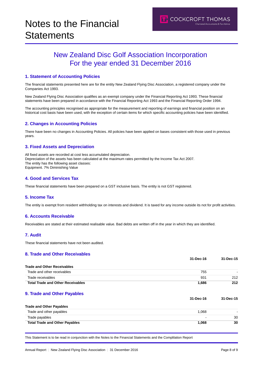### New Zealand Disc Golf Association Incorporation For the year ended 31 December 2016

#### **1. Statement of Accounting Policies**

The financial statements presented here are for the entity New Zealand Flying Disc Association, a registered company under the Companies Act 1993.

New Zealand Flying Disc Association qualifies as an exempt company under the Financial Reporting Act 1993. These financial statements have been prepared in accordance with the Financial Reporting Act 1993 and the Financial Reporting Order 1994.

The accounting principles recognised as appropriate for the measurement and reporting of earnings and financial position on an historical cost basis have been used, with the exception of certain items for which specific accounting policies have been identified.

#### **2. Changes in Accounting Policies**

There have been no changes in Accounting Policies. All policies have been applied on bases consistent with those used in previous years.

#### **3. Fixed Assets and Depreciation**

All fixed assets are recorded at cost less accumulated depreciation. Depreciation of the assets has been calculated at the maximum rates permitted by the Income Tax Act 2007. The entity has the following asset classes: Equipment. 7% Diminishing Value

#### **4. Good and Services Tax**

These financial statements have been prepared on a GST inclusive basis. The entity is not GST registered.

#### **5. Income Tax**

The entity is exempt from resident withholding tax on interests and dividend. It is taxed for any income outside its not for profit activities.

#### **6. Accounts Receivable**

Receivables are stated at their estimated realisable value. Bad debts are written off in the year in which they are identified.

#### **7. Audit**

These financial statements have not been audited.

#### **8. Trade and Other Receivables**

|                                          | 31-Dec-16 | 31-Dec-15 |
|------------------------------------------|-----------|-----------|
| <b>Trade and Other Receivables</b>       |           |           |
| Trade and other receivables              | 755       |           |
| Trade receivables                        | 931       | 212       |
| <b>Total Trade and Other Receivables</b> | 1,686     | 212       |
| 9. Trade and Other Payables              |           |           |
|                                          | 31-Dec-16 | 31-Dec-15 |
| <b>Trade and Other Payables</b>          |           |           |
| Trade and other payables                 | 1,068     |           |
| Trade payables                           |           | 30        |

**Total Trade and Other Payables 1,068 30**